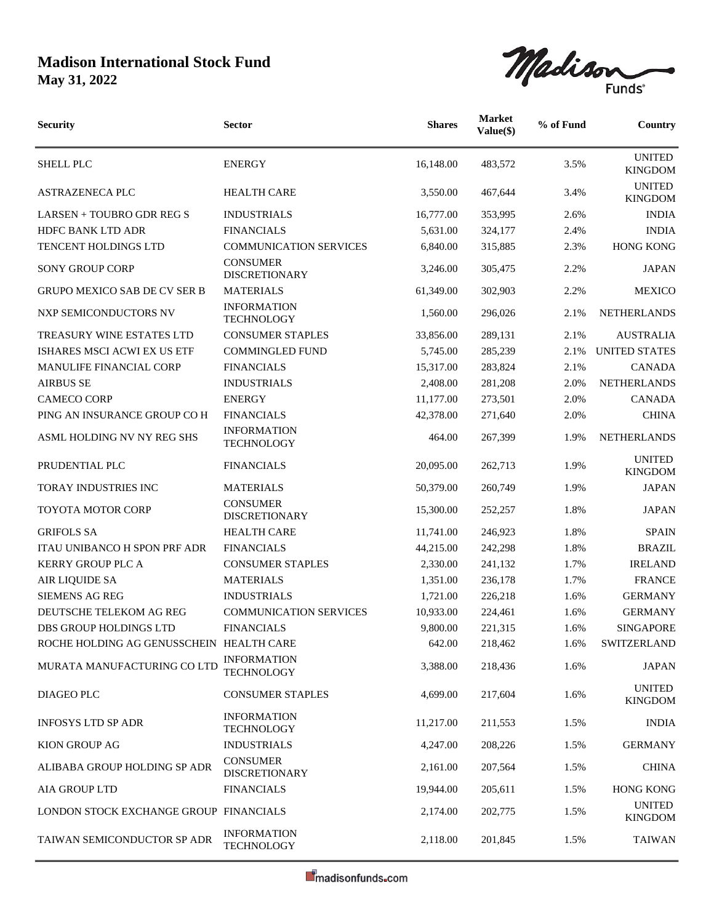## **Madison International Stock Fund May 31, 2022**



| <b>Security</b>                          | <b>Sector</b>                           | <b>Shares</b> | <b>Market</b><br>Value(\$) | % of Fund | Country                         |
|------------------------------------------|-----------------------------------------|---------------|----------------------------|-----------|---------------------------------|
| <b>SHELL PLC</b>                         | <b>ENERGY</b>                           | 16,148.00     | 483,572                    | 3.5%      | <b>UNITED</b><br><b>KINGDOM</b> |
| <b>ASTRAZENECA PLC</b>                   | <b>HEALTH CARE</b>                      | 3.550.00      | 467,644                    | 3.4%      | <b>UNITED</b><br><b>KINGDOM</b> |
| LARSEN + TOUBRO GDR REG S                | <b>INDUSTRIALS</b>                      | 16,777.00     | 353,995                    | 2.6%      | <b>INDIA</b>                    |
| HDFC BANK LTD ADR                        | <b>FINANCIALS</b>                       | 5,631.00      | 324,177                    | 2.4%      | <b>INDIA</b>                    |
| TENCENT HOLDINGS LTD                     | <b>COMMUNICATION SERVICES</b>           | 6,840.00      | 315,885                    | 2.3%      | <b>HONG KONG</b>                |
| <b>SONY GROUP CORP</b>                   | <b>CONSUMER</b><br><b>DISCRETIONARY</b> | 3,246.00      | 305,475                    | 2.2%      | <b>JAPAN</b>                    |
| <b>GRUPO MEXICO SAB DE CV SER B</b>      | <b>MATERIALS</b>                        | 61,349.00     | 302,903                    | 2.2%      | <b>MEXICO</b>                   |
| NXP SEMICONDUCTORS NV                    | <b>INFORMATION</b><br><b>TECHNOLOGY</b> | 1,560.00      | 296,026                    | 2.1%      | <b>NETHERLANDS</b>              |
| TREASURY WINE ESTATES LTD                | <b>CONSUMER STAPLES</b>                 | 33,856.00     | 289,131                    | 2.1%      | <b>AUSTRALIA</b>                |
| ISHARES MSCI ACWI EX US ETF              | <b>COMMINGLED FUND</b>                  | 5,745.00      | 285,239                    | 2.1%      | <b>UNITED STATES</b>            |
| MANULIFE FINANCIAL CORP                  | <b>FINANCIALS</b>                       | 15,317.00     | 283,824                    | 2.1%      | <b>CANADA</b>                   |
| <b>AIRBUS SE</b>                         | <b>INDUSTRIALS</b>                      | 2,408.00      | 281,208                    | 2.0%      | <b>NETHERLANDS</b>              |
| <b>CAMECO CORP</b>                       | <b>ENERGY</b>                           | 11,177.00     | 273,501                    | 2.0%      | <b>CANADA</b>                   |
| PING AN INSURANCE GROUP CO H             | <b>FINANCIALS</b>                       | 42,378.00     | 271,640                    | 2.0%      | <b>CHINA</b>                    |
| ASML HOLDING NV NY REG SHS               | <b>INFORMATION</b><br><b>TECHNOLOGY</b> | 464.00        | 267,399                    | 1.9%      | <b>NETHERLANDS</b>              |
| PRUDENTIAL PLC                           | <b>FINANCIALS</b>                       | 20,095.00     | 262,713                    | 1.9%      | <b>UNITED</b><br><b>KINGDOM</b> |
| <b>TORAY INDUSTRIES INC</b>              | <b>MATERIALS</b>                        | 50,379.00     | 260,749                    | 1.9%      | <b>JAPAN</b>                    |
| <b>TOYOTA MOTOR CORP</b>                 | <b>CONSUMER</b><br><b>DISCRETIONARY</b> | 15,300.00     | 252,257                    | 1.8%      | <b>JAPAN</b>                    |
| <b>GRIFOLS SA</b>                        | <b>HEALTH CARE</b>                      | 11,741.00     | 246,923                    | 1.8%      | <b>SPAIN</b>                    |
| <b>ITAU UNIBANCO H SPON PRF ADR</b>      | <b>FINANCIALS</b>                       | 44,215.00     | 242,298                    | 1.8%      | <b>BRAZIL</b>                   |
| <b>KERRY GROUP PLC A</b>                 | <b>CONSUMER STAPLES</b>                 | 2,330.00      | 241,132                    | 1.7%      | <b>IRELAND</b>                  |
| AIR LIQUIDE SA                           | <b>MATERIALS</b>                        | 1,351.00      | 236,178                    | 1.7%      | <b>FRANCE</b>                   |
| <b>SIEMENS AG REG</b>                    | <b>INDUSTRIALS</b>                      | 1,721.00      | 226,218                    | 1.6%      | <b>GERMANY</b>                  |
| DEUTSCHE TELEKOM AG REG                  | <b>COMMUNICATION SERVICES</b>           | 10,933.00     | 224,461                    | 1.6%      | <b>GERMANY</b>                  |
| DBS GROUP HOLDINGS LTD                   | <b>FINANCIALS</b>                       | 9,800.00      | 221,315                    | 1.6%      | <b>SINGAPORE</b>                |
| ROCHE HOLDING AG GENUSSCHEIN HEALTH CARE |                                         | 642.00        | 218,462                    | 1.6%      | SWITZERLAND                     |
| MURATA MANUFACTURING CO LTD              | <b>INFORMATION</b><br><b>TECHNOLOGY</b> | 3,388.00      | 218,436                    | 1.6%      | <b>JAPAN</b>                    |
| <b>DIAGEO PLC</b>                        | <b>CONSUMER STAPLES</b>                 | 4,699.00      | 217,604                    | 1.6%      | <b>UNITED</b><br><b>KINGDOM</b> |
| <b>INFOSYS LTD SP ADR</b>                | <b>INFORMATION</b><br><b>TECHNOLOGY</b> | 11,217.00     | 211,553                    | 1.5%      | <b>INDIA</b>                    |
| KION GROUP AG                            | <b>INDUSTRIALS</b>                      | 4,247.00      | 208,226                    | 1.5%      | <b>GERMANY</b>                  |
| ALIBABA GROUP HOLDING SP ADR             | <b>CONSUMER</b><br><b>DISCRETIONARY</b> | 2,161.00      | 207,564                    | 1.5%      | <b>CHINA</b>                    |
| AIA GROUP LTD                            | <b>FINANCIALS</b>                       | 19,944.00     | 205,611                    | 1.5%      | <b>HONG KONG</b>                |
| LONDON STOCK EXCHANGE GROUP FINANCIALS   |                                         | 2,174.00      | 202,775                    | 1.5%      | <b>UNITED</b><br><b>KINGDOM</b> |
| TAIWAN SEMICONDUCTOR SP ADR              | <b>INFORMATION</b><br><b>TECHNOLOGY</b> | 2,118.00      | 201,845                    | 1.5%      | <b>TAIWAN</b>                   |